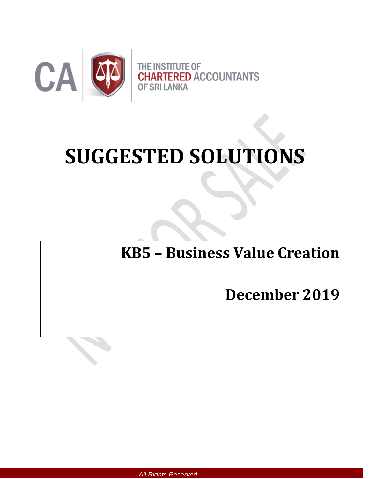

# **SUGGESTED SOLUTIONS**

# **KB5 – Business Value Creation**

## **December 2019**

 *All Rights Reserved*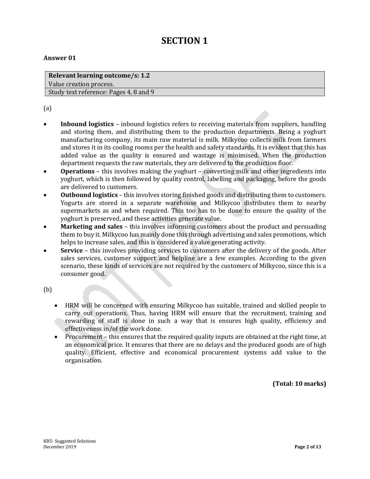### **SECTION 1**

#### **Answer 01**

**Relevant learning outcome/s: 1.2**  Value creation process. Study text reference: Pages 4, 8 and 9

(a)

- **Inbound logistics** inbound logistics refers to receiving materials from suppliers, handling and storing them, and distributing them to the production departments. Being a yoghurt manufacturing company, its main raw material is milk. Milkycoo collects milk from farmers and stores it in its cooling rooms per the health and safety standards. It is evident that this has added value as the quality is ensured and wastage is minimised. When the production department requests the raw materials, they are delivered to the production floor.
- **Operations** this involves making the yoghurt converting milk and other ingredients into yoghurt, which is then followed by quality control, labelling and packaging, before the goods are delivered to customers.
- **Outbound logistics** this involves storing finished goods and distributing them to customers. Yogurts are stored in a separate warehouse and Milkycoo distributes them to nearby supermarkets as and when required. This too has to be done to ensure the quality of the yoghurt is preserved, and these activities generate value.
- **Marketing and sales** this involves informing customers about the product and persuading them to buy it. Milkycoo has mainly done this through advertising and sales promotions, which helps to increase sales, and this is considered a value generating activity.
- **Service** this involves providing services to customers after the delivery of the goods. After sales services, customer support and helpline are a few examples. According to the given scenario, these kinds of services are not required by the customers of Milkycoo, since this is a consumer good.

(b)

- HRM will be concerned with ensuring Milkycoo has suitable, trained and skilled people to carry out operations. Thus, having HRM will ensure that the recruitment, training and rewarding of staff is done in such a way that is ensures high quality, efficiency and effectiveness in/of the work done.
- Procurement this ensures that the required quality inputs are obtained at the right time, at an economical price. It ensures that there are no delays and the produced goods are of high quality. Efficient, effective and economical procurement systems add value to the organisation.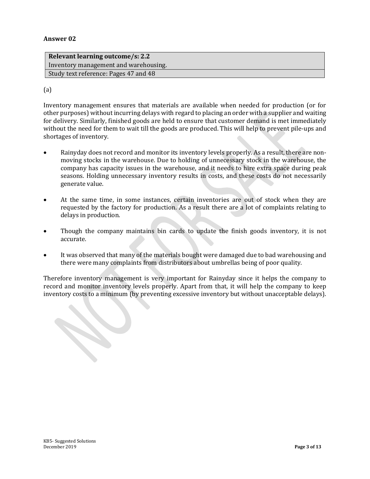| Relevant learning outcome/s: 2.2      |
|---------------------------------------|
| Inventory management and warehousing. |
| Study text reference: Pages 47 and 48 |

#### (a)

Inventory management ensures that materials are available when needed for production (or for other purposes) without incurring delays with regard to placing an order with a supplier and waiting for delivery. Similarly, finished goods are held to ensure that customer demand is met immediately without the need for them to wait till the goods are produced. This will help to prevent pile-ups and shortages of inventory.

- Rainyday does not record and monitor its inventory levels properly. As a result, there are nonmoving stocks in the warehouse. Due to holding of unnecessary stock in the warehouse, the company has capacity issues in the warehouse, and it needs to hire extra space during peak seasons. Holding unnecessary inventory results in costs, and these costs do not necessarily generate value.
- At the same time, in some instances, certain inventories are out of stock when they are requested by the factory for production. As a result there are a lot of complaints relating to delays in production.
- Though the company maintains bin cards to update the finish goods inventory, it is not accurate.
- It was observed that many of the materials bought were damaged due to bad warehousing and there were many complaints from distributors about umbrellas being of poor quality.

Therefore inventory management is very important for Rainyday since it helps the company to record and monitor inventory levels properly. Apart from that, it will help the company to keep inventory costs to a minimum (by preventing excessive inventory but without unacceptable delays).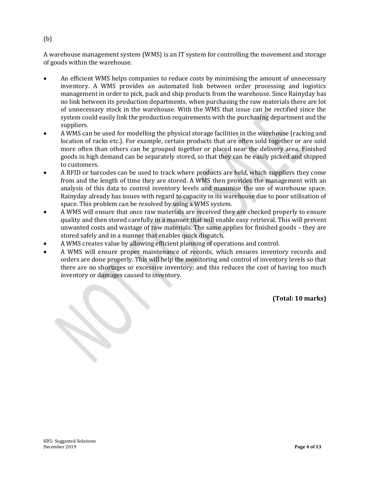A warehouse management system (WMS) is an IT system for controlling the movement and storage of goods within the warehouse.

- An efficient WMS helps companies to reduce costs by minimising the amount of unnecessary inventory. A WMS provides an automated link between order processing and logistics management in order to pick, pack and ship products from the warehouse. Since Rainyday has no link between its production departments, when purchasing the raw materials there are lot of unnecessary stock in the warehouse. With the WMS that issue can be rectified since the system could easily link the production requirements with the purchasing department and the suppliers.
- A WMS can be used for modelling the physical storage facilities in the warehouse (racking and location of racks etc.). For example, certain products that are often sold together or are sold more often than others can be grouped together or placed near the delivery area. Finished goods in high demand can be separately stored, so that they can be easily picked and shipped to customers.
- A RFID or barcodes can be used to track where products are held, which suppliers they come from and the length of time they are stored. A WMS then provides the management with an analysis of this data to control inventory levels and maximise the use of warehouse space. Rainyday already has issues with regard to capacity in its warehouse due to poor utilisation of space. This problem can be resolved by using a WMS system.
- A WMS will ensure that once raw materials are received they are checked properly to ensure quality and then stored carefully in a manner that will enable easy retrieval. This will prevent unwanted costs and wastage of raw materials. The same applies for finished goods – they are stored safely and in a manner that enables quick dispatch.
- A WMS creates value by allowing efficient planning of operations and control.
- A WMS will ensure proper maintenance of records, which ensures inventory records and orders are done properly. This will help the monitoring and control of inventory levels so that there are no shortages or excessive inventory; and this reduces the cost of having too much inventory or damages caused to inventory.

**(Total: 10 marks)**

(b)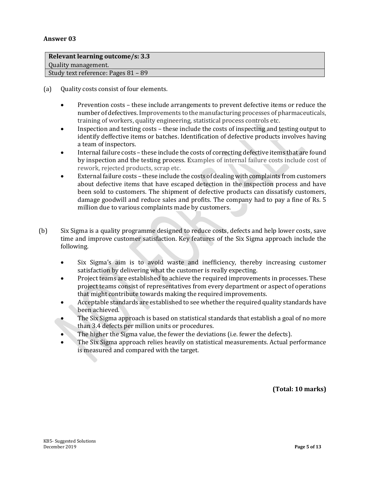| Relevant learning outcome/s: 3.3    |
|-------------------------------------|
| Quality management.                 |
| Study text reference: Pages 81 - 89 |
|                                     |

(a) Quality costs consist of four elements.

- Prevention costs these include arrangements to prevent defective items or reduce the number of defectives. Improvements to the manufacturing processes of pharmaceuticals, training of workers, quality engineering, statistical process controls etc.
- Inspection and testing costs these include the costs of inspecting and testing output to identify deffective items or batches. Identification of defective products involves having a team of inspectors.
- Internal failure costs these include the costs of correcting defective items that are found by inspection and the testing process. Examples of internal failure costs include cost of rework, rejected products, scrap etc.
- External failure costs these include the costs of dealing with complaints from customers about defective items that have escaped detection in the inspection process and have been sold to customers. The shipment of defective products can dissatisfy customers, damage goodwill and reduce sales and profits. The company had to pay a fine of Rs. 5 million due to various complaints made by customers.
- (b) Six Sigma is a quality programme designed to reduce costs, defects and help lower costs, save time and improve customer satisfaction. Key features of the Six Sigma approach include the following.
	- Six Sigma's aim is to avoid waste and inefficiency, thereby increasing customer satisfaction by delivering what the customer is really expecting.
	- Project teams are established to achieve the required improvements in processes. These project teams consist of representatives from every department or aspect of operations that might contribute towards making the required improvements.
	- Acceptable standards are established to see whether the required quality standards have been achieved.
	- The Six Sigma approach is based on statistical standards that establish a goal of no more than 3.4 defects per million units or procedures.
	- The higher the Sigma value, the fewer the deviations (i.e. fewer the defects).
	- The Six Sigma approach relies heavily on statistical measurements. Actual performance is measured and compared with the target.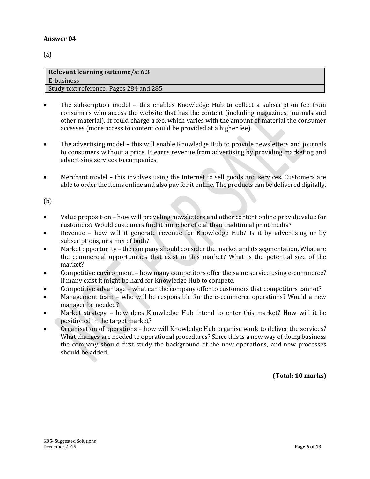(a)

| Relevant learning outcome/s: 6.3        |
|-----------------------------------------|
| E-business                              |
| Study text reference: Pages 284 and 285 |

- The subscription model this enables Knowledge Hub to collect a subscription fee from consumers who access the website that has the content (including magazines, journals and other material). It could charge a fee, which varies with the amount of material the consumer accesses (more access to content could be provided at a higher fee).
- The advertising model this will enable Knowledge Hub to provide newsletters and journals to consumers without a price. It earns revenue from advertising by providing marketing and advertising services to companies.
- Merchant model this involves using the Internet to sell goods and services. Customers are able to order the items online and also pay for it online. The products can be delivered digitally.

(b)

- Value proposition how will providing newsletters and other content online provide value for customers? Would customers find it more beneficial than traditional print media?
- Revenue how will it generate revenue for Knowledge Hub? Is it by advertising or by subscriptions, or a mix of both?
- Market opportunity the company should consider the market and its segmentation. What are the commercial opportunities that exist in this market? What is the potential size of the market?
- Competitive environment how many competitors offer the same service using e-commerce? If many exist it might be hard for Knowledge Hub to compete.
- Competitive advantage what can the company offer to customers that competitors cannot?
- Management team who will be responsible for the e-commerce operations? Would a new manager be needed?
- Market strategy how does Knowledge Hub intend to enter this market? How will it be positioned in the target market?
- Organisation of operations how will Knowledge Hub organise work to deliver the services? What changes are needed to operational procedures? Since this is a new way of doing business the company should first study the background of the new operations, and new processes should be added.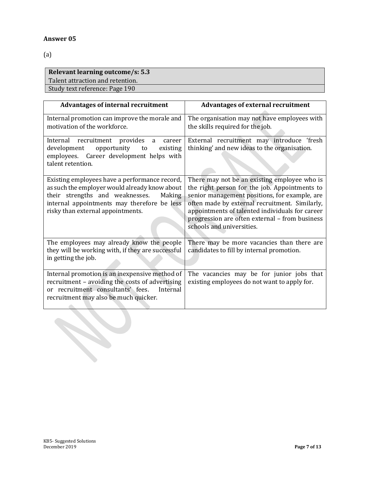(a)

#### **Relevant learning outcome/s: 5.3**  Talent attraction and retention. Study text reference: Page 190

| <b>Advantages of internal recruitment</b>                                                                                                                                                                                       | <b>Advantages of external recruitment</b>                                                                                                                                                                                                                                                                                          |
|---------------------------------------------------------------------------------------------------------------------------------------------------------------------------------------------------------------------------------|------------------------------------------------------------------------------------------------------------------------------------------------------------------------------------------------------------------------------------------------------------------------------------------------------------------------------------|
| Internal promotion can improve the morale and<br>motivation of the workforce.                                                                                                                                                   | The organisation may not have employees with<br>the skills required for the job.                                                                                                                                                                                                                                                   |
| Internal recruitment provides<br>a<br>career<br>development<br>opportunity<br>existing<br>to<br>employees. Career development helps with<br>talent retention.                                                                   | External recruitment may introduce 'fresh<br>thinking' and new ideas to the organisation.                                                                                                                                                                                                                                          |
| Existing employees have a performance record,<br>as such the employer would already know about<br>their strengths and weaknesses.<br>Making<br>internal appointments may therefore be less<br>risky than external appointments. | There may not be an existing employee who is<br>the right person for the job. Appointments to<br>senior management positions, for example, are<br>often made by external recruitment. Similarly,<br>appointments of talented individuals for career<br>progression are often external - from business<br>schools and universities. |
| The employees may already know the people<br>they will be working with, if they are successful<br>in getting the job.                                                                                                           | There may be more vacancies than there are<br>candidates to fill by internal promotion.                                                                                                                                                                                                                                            |
| Internal promotion is an inexpensive method of<br>recruitment - avoiding the costs of advertising<br>or recruitment consultants' fees. Internal<br>recruitment may also be much quicker.                                        | The vacancies may be for junior jobs that<br>existing employees do not want to apply for.                                                                                                                                                                                                                                          |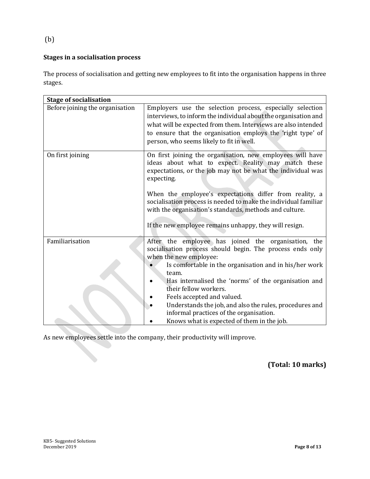#### (b)

#### **Stages in a socialisation process**

The process of socialisation and getting new employees to fit into the organisation happens in three stages.

| <b>Stage of socialisation</b>   |                                                                                                                                                                                                                                                                                                                                                                                                                                                                                  |  |  |
|---------------------------------|----------------------------------------------------------------------------------------------------------------------------------------------------------------------------------------------------------------------------------------------------------------------------------------------------------------------------------------------------------------------------------------------------------------------------------------------------------------------------------|--|--|
| Before joining the organisation | Employers use the selection process, especially selection<br>interviews, to inform the individual about the organisation and<br>what will be expected from them. Interviews are also intended<br>to ensure that the organisation employs the 'right type' of<br>person, who seems likely to fit in well.                                                                                                                                                                         |  |  |
| On first joining                | On first joining the organisation, new employees will have<br>ideas about what to expect. Reality may match these<br>expectations, or the job may not be what the individual was<br>expecting.<br>When the employee's expectations differ from reality, a<br>socialisation process is needed to make the individual familiar<br>with the organisation's standards, methods and culture.<br>If the new employee remains unhappy, they will resign.                                |  |  |
| Familiarisation                 | After the employee has joined the organisation, the<br>socialisation process should begin. The process ends only<br>when the new employee:<br>Is comfortable in the organisation and in his/her work<br>team.<br>Has internalised the 'norms' of the organisation and<br>their fellow workers.<br>Feels accepted and valued.<br>Understands the job, and also the rules, procedures and<br>informal practices of the organisation.<br>Knows what is expected of them in the job. |  |  |

As new employees settle into the company, their productivity will improve.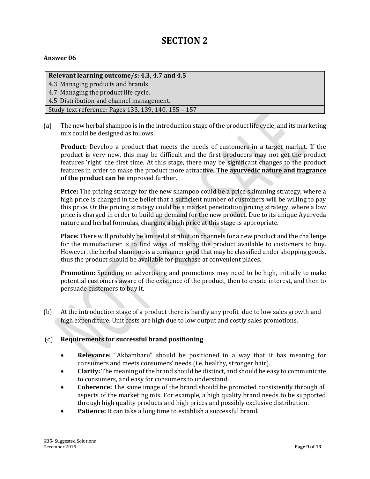### **SECTION 2**

#### **Answer 06**

#### **Relevant learning outcome/s: 4.3, 4.7 and 4.5**

4.3 Managing products and brands 4.7 Managing the product life cycle.

4.5 Distribution and channel management.

Study text reference: Pages 133, 139, 140, 155 – 157

(a) The new herbal shampoo is in the introduction stage of the product life cycle, and its marketing mix could be designed as follows.

**Product:** Develop a product that meets the needs of customers in a target market. If the product is very new, this may be difficult and the first producers may not get the product features 'right' the first time. At this stage, there may be significant changes to the product features in order to make the product more attractive. **The ayurvedic nature and fragrance of the product can be** improved further.

**Price:** The pricing strategy for the new shampoo could be a price skimming strategy, where a high price is charged in the belief that a sufficient number of customers will be willing to pay this price. Or the pricing strategy could be a market penetration pricing strategy, where a low price is charged in order to build up demand for the new product. Due to its unique Ayurveda nature and herbal formulas, charging a high price at this stage is appropriate.

**Place:** There will probably be limited distribution channels for a new product and the challenge for the manufacturer is to find ways of making the product available to customers to buy. However, the herbal shampoo is a consumer good that may be classified under shopping goods, thus the product should be available for purchase at convenient places.

**Promotion:** Spending on advertising and promotions may need to be high, initially to make potential customers aware of the existence of the product, then to create interest, and then to persuade customers to buy it.

(b) At the introduction stage of a product there is hardly any profit due to low sales growth and high expenditure. Unit costs are high due to low output and costly sales promotions.

#### (c) **Requirements for successful brand positioning**

- **Relevance:** "Akbambaru" should be positioned in a way that it has meaning for consumers and meets consumers' needs (i.e. healthy, stronger hair).
- **Clarity:** The meaning of the brand should be distinct, and should be easy to communicate to consumers, and easy for consumers to understand.
- **Coherence:** The same image of the brand should be promoted consistently through all aspects of the marketing mix. For example, a high quality brand needs to be supported through high quality products and high prices and possibly exclusive distribution.
- **Patience:** It can take a long time to establish a successful brand.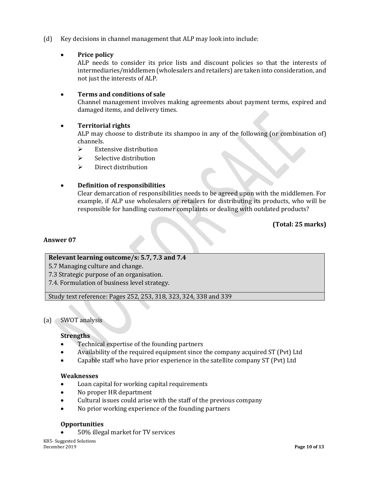(d) Key decisions in channel management that ALP may look into include:

#### **Price policy**

ALP needs to consider its price lists and discount policies so that the interests of intermediaries/middlemen (wholesalers and retailers) are taken into consideration, and not just the interests of ALP.

#### **Terms and conditions of sale**

Channel management involves making agreements about payment terms, expired and damaged items, and delivery times.

#### **Territorial rights**

ALP may choose to distribute its shampoo in any of the following (or combination of) channels.

- $\triangleright$  Extensive distribution
- $\triangleright$  Selective distribution
- $\triangleright$  Direct distribution

#### **Definition of responsibilities**

Clear demarcation of responsibilities needs to be agreed upon with the middlemen. For example, if ALP use wholesalers or retailers for distributing its products, who will be responsible for handling customer complaints or dealing with outdated products?

**(Total: 25 marks)**

#### **Answer 07**

#### **Relevant learning outcome/s: 5.7, 7.3 and 7.4**

5.7 Managing culture and change.

- 7.3 Strategic purpose of an organisation.
- 7.4. Formulation of business level strategy.

Study text reference: Pages 252, 253, 318, 323, 324, 338 and 339

#### (a) SWOT analysis

#### **Strengths**

- Technical expertise of the founding partners
- Availability of the required equipment since the company acquired ST (Pvt) Ltd
- Capable staff who have prior experience in the satellite company ST (Pvt) Ltd

#### **Weaknesses**

- Loan capital for working capital requirements
- No proper HR department
- Cultural issues could arise with the staff of the previous company
- No prior working experience of the founding partners

#### **Opportunities**

50% illegal market for TV services

KB5- Suggested Solutions **December 2019 Page 10 of 13**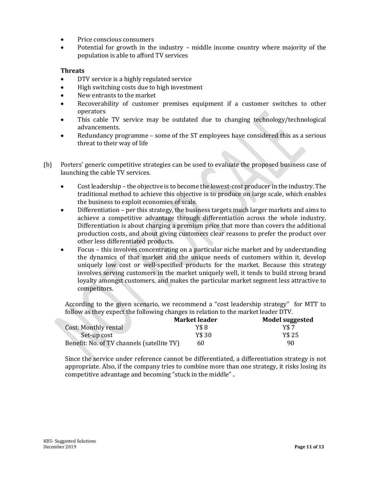- Price conscious consumers
- Potential for growth in the industry middle income country where majority of the population is able to afford TV services

#### **Threats**

- DTV service is a highly regulated service
- High switching costs due to high investment
- New entrants to the market
- Recoverability of customer premises equipment if a customer switches to other operators
- This cable TV service may be outdated due to changing technology/technological advancements.
- Redundancy programme some of the ST employees have considered this as a serious threat to their way of life
- (b) Porters' generic competitive strategies can be used to evaluate the proposed business case of launching the cable TV services.
	- Cost leadership the objective is to become the lowest-cost producer in the industry. The traditional method to achieve this objective is to produce on large scale, which enables the business to exploit economies of scale.
	- Differentiation per this strategy, the business targets much larger markets and aims to achieve a competitive advantage through differentiation across the whole industry. Differentiation is about charging a premium price that more than covers the additional production costs, and about giving customers clear reasons to prefer the product over other less differentiated products.
	- Focus this involves concentrating on a particular niche market and by understanding the dynamics of that market and the unique needs of customers within it, develop uniquely low cost or well-specified products for the market. Because this strategy involves serving customers in the market uniquely well, it tends to build strong brand loyalty amongst customers, and makes the particular market segment less attractive to competitors.

According to the given scenario, we recommend a "cost leadership strategy" for MTT to follow as they expect the following changes in relation to the market leader DTV.

|                                            | <b>Market leader</b> | Model suggested |
|--------------------------------------------|----------------------|-----------------|
| <b>Cost: Monthly rental</b>                | Y\$ 8                | Y\$ 7           |
| Set-up cost                                | Y\$ 30               | Y\$ 25          |
| Benefit: No. of TV channels (satellite TV) | 60                   | 90              |

Since the service under reference cannot be differentiated, a differentiation strategy is not appropriate. Also, if the company tries to combine more than one strategy, it risks losing its competitive advantage and becoming "stuck in the middle" **.**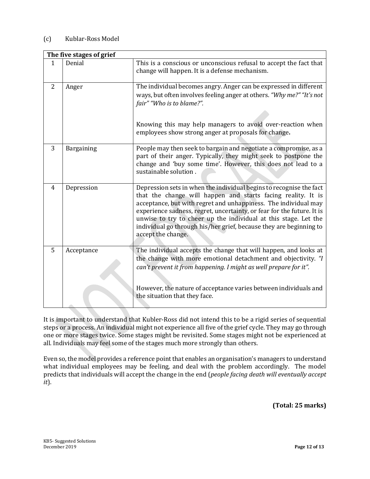#### (c) Kublar-Ross Model

| The five stages of grief |            |                                                                                                                                                                                                                                                                                                                                                                                                                                                 |  |  |
|--------------------------|------------|-------------------------------------------------------------------------------------------------------------------------------------------------------------------------------------------------------------------------------------------------------------------------------------------------------------------------------------------------------------------------------------------------------------------------------------------------|--|--|
| $\mathbf{1}$             | Denial     | This is a conscious or unconscious refusal to accept the fact that<br>change will happen. It is a defense mechanism.                                                                                                                                                                                                                                                                                                                            |  |  |
| $\overline{2}$           | Anger      | The individual becomes angry. Anger can be expressed in different<br>ways, but often involves feeling anger at others. "Why me?" "It's not<br>fair" "Who is to blame?".<br>Knowing this may help managers to avoid over-reaction when<br>employees show strong anger at proposals for change.                                                                                                                                                   |  |  |
| 3                        | Bargaining | People may then seek to bargain and negotiate a compromise, as a<br>part of their anger. Typically, they might seek to postpone the<br>change and 'buy some time'. However, this does not lead to a<br>sustainable solution.                                                                                                                                                                                                                    |  |  |
| 4                        | Depression | Depression sets in when the individual begins to recognise the fact<br>that the change will happen and starts facing reality. It is<br>acceptance, but with regret and unhappiness. The individual may<br>experience sadness, regret, uncertainty, or fear for the future. It is<br>unwise to try to cheer up the individual at this stage. Let the<br>individual go through his/her grief, because they are beginning to<br>accept the change. |  |  |
| 5                        | Acceptance | The individual accepts the change that will happen, and looks at<br>the change with more emotional detachment and objectivity. "I<br>can't prevent it from happening. I might as well prepare for it".<br>However, the nature of acceptance varies between individuals and<br>the situation that they face.                                                                                                                                     |  |  |

It is important to understand that Kubler-Ross did not intend this to be a rigid series of sequential steps or a process. An individual might not experience all five of the grief cycle. They may go through one or more stages twice. Some stages might be revisited. Some stages might not be experienced at all. Individuals may feel some of the stages much more strongly than others.

Even so, the model provides a reference point that enables an organisation's managers to understand what individual employees may be feeling, and deal with the problem accordingly. The model predicts that individuals will accept the change in the end (*people facing death will eventually accept it*).

**(Total: 25 marks)**